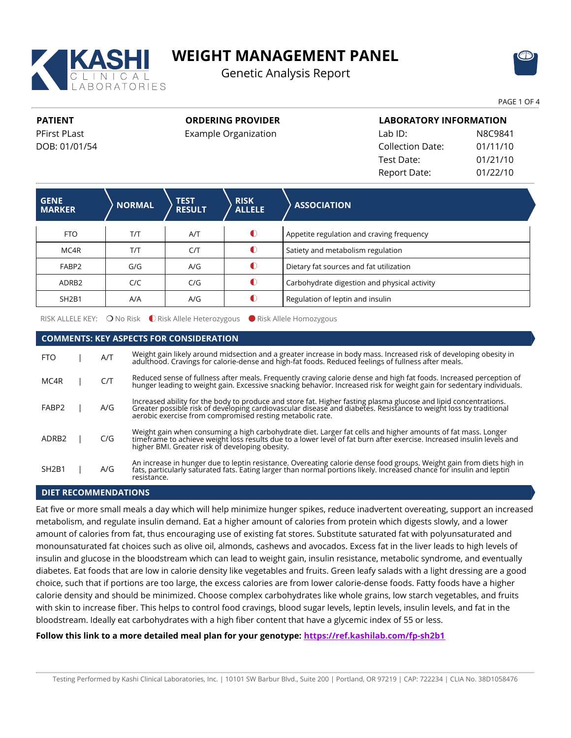

# **WEIGHT MANAGEMENT PANEL**

Genetic Analysis Report



PAGE 1 OF 4

**PATIENT** PFirst PLast DOB: 01/01/54 **ORDERING PROVIDER**

Example Organization

| <b>LABORATORY INFORMATION</b> |          |  |  |  |
|-------------------------------|----------|--|--|--|
| Lab ID:                       | N8C9841  |  |  |  |
| <b>Collection Date:</b>       | 01/11/10 |  |  |  |
| Test Date:                    | 01/21/10 |  |  |  |
| Report Date:                  | 01/22/10 |  |  |  |

| <b>GENE</b><br><b>MARKER</b>   | <b>NORMAL</b> | <b>TEST</b><br><b>RESULT</b> | <b>RISK</b><br><b>ALLELE</b> | <b>ASSOCIATION</b>                           |  |
|--------------------------------|---------------|------------------------------|------------------------------|----------------------------------------------|--|
| FTO.                           | T/T           | A/T                          | $\bigcirc$                   | Appetite regulation and craving frequency    |  |
| MC4R                           | T/T           | C/T                          | $\bullet$                    | Satiety and metabolism regulation            |  |
| FABP2                          | G/G           | A/G                          | €                            | Dietary fat sources and fat utilization      |  |
| ADRB <sub>2</sub>              | C/C           | C/G                          | €                            | Carbohydrate digestion and physical activity |  |
| SH <sub>2</sub> B <sub>1</sub> | A/A           | A/G                          | ſ                            | Regulation of leptin and insulin             |  |

RISK ALLELE KEY: O No Risk C Risk Allele Heterozygous C Risk Allele Homozygous

# **COMMENTS: KEY ASPECTS FOR CONSIDERATION**

| <b>FTO</b>                     | A/T | Weight gain likely around midsection and a greater increase in body mass. Increased risk of developing obesity in<br>adulthood. Cravings for calorie-dense and high-fat foods. Reduced feelings of fullness after meals.                                                                           |
|--------------------------------|-----|----------------------------------------------------------------------------------------------------------------------------------------------------------------------------------------------------------------------------------------------------------------------------------------------------|
| MC4R                           | C/T | Reduced sense of fullness after meals. Frequently craving calorie dense and high fat foods. Increased perception of<br>hunger leading to weight gain. Excessive snacking behavior. Increased risk for weight gain for sedentary i                                                                  |
| FABP2                          | A/G | Increased ability for the body to produce and store fat. Higher fasting plasma glucose and lipid concentrations.<br>Greater possible risk of developing cardiovascular disease and diabetes. Resistance to weight loss by traditional<br>aerobic exercise from compromised resting metabolic rate. |
| ADRB <sub>2</sub>              | C/G | Weight gain when consuming a high carbohydrate diet. Larger fat cells and higher amounts of fat mass. Longer<br>timeframe to achieve weight loss results due to a lower level of fat burn after exercise. Increased insulin levels and<br>higher BMI. Greater risk of developing obesity.          |
| SH <sub>2</sub> B <sub>1</sub> | A/G | An increase in hunger due to leptin resistance. Overeating calorie dense food groups. Weight gain from diets high in<br>fats, particularly saturated fats. Eating larger than normal portions likely. Increased chance for insulin and leptin<br>resistance.                                       |

## **DIET RECOMMENDATIONS**

Eat five or more small meals a day which will help minimize hunger spikes, reduce inadvertent overeating, support an increased metabolism, and regulate insulin demand. Eat a higher amount of calories from protein which digests slowly, and a lower amount of calories from fat, thus encouraging use of existing fat stores. Substitute saturated fat with polyunsaturated and monounsaturated fat choices such as olive oil, almonds, cashews and avocados. Excess fat in the liver leads to high levels of insulin and glucose in the bloodstream which can lead to weight gain, insulin resistance, metabolic syndrome, and eventually diabetes. Eat foods that are low in calorie density like vegetables and fruits. Green leafy salads with a light dressing are a good choice, such that if portions are too large, the excess calories are from lower calorie-dense foods. Fatty foods have a higher calorie density and should be minimized. Choose complex carbohydrates like whole grains, low starch vegetables, and fruits with skin to increase fiber. This helps to control food cravings, blood sugar levels, leptin levels, insulin levels, and fat in the bloodstream. Ideally eat carbohydrates with a high fiber content that have a glycemic index of 55 or less.

# **Follow this link to a more detailed meal plan for your genotype: <https://ref.kashilab.com/fp-sh2b1>**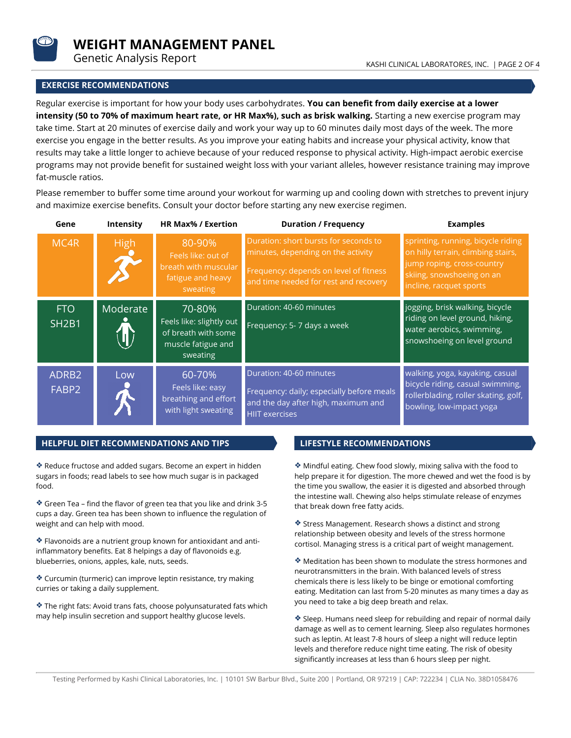

**WEIGHT MANAGEMENT PANEL**

# **EXERCISE RECOMMENDATIONS**

Regular exercise is important for how your body uses carbohydrates. **You can benefit from daily exercise at a lower intensity (50 to 70% of maximum heart rate, or HR Max%), such as brisk walking.** Starting a new exercise program may take time. Start at 20 minutes of exercise daily and work your way up to 60 minutes daily most days of the week. The more exercise you engage in the better results. As you improve your eating habits and increase your physical activity, know that results may take a little longer to achieve because of your reduced response to physical activity. High-impact aerobic exercise programs may not provide benefit for sustained weight loss with your variant alleles, however resistance training may improve fat-muscle ratios.

Please remember to buffer some time around your workout for warming up and cooling down with stretches to prevent injury and maximize exercise benefits. Consult your doctor before starting any new exercise regimen.

| Gene                       | Intensity   | <b>HR Max% / Exertion</b>                                                                   | <b>Duration / Frequency</b>                                                                                                                                    | <b>Examples</b>                                                                                                                                                |
|----------------------------|-------------|---------------------------------------------------------------------------------------------|----------------------------------------------------------------------------------------------------------------------------------------------------------------|----------------------------------------------------------------------------------------------------------------------------------------------------------------|
| MC4R                       | <b>High</b> | 80-90%<br>Feels like: out of<br>breath with muscular<br>fatigue and heavy<br>sweating       | Duration: short bursts for seconds to<br>minutes, depending on the activity<br>Frequency: depends on level of fitness<br>and time needed for rest and recovery | sprinting, running, bicycle riding<br>on hilly terrain, climbing stairs,<br>jump roping, cross-country<br>skiing, snowshoeing on an<br>incline, racquet sports |
| <b>FTO</b><br><b>SH2B1</b> | Moderate    | 70-80%<br>Feels like: slightly out<br>of breath with some<br>muscle fatigue and<br>sweating | Duration: 40-60 minutes<br>Frequency: 5- 7 days a week                                                                                                         | jogging, brisk walking, bicycle<br>riding on level ground, hiking,<br>water aerobics, swimming,<br>snowshoeing on level ground                                 |
| ADRB2<br>FABP2             | Low         | 60-70%<br>Feels like: easy<br>breathing and effort<br>with light sweating                   | Duration: 40-60 minutes<br>Frequency: daily; especially before meals<br>and the day after high, maximum and<br><b>HIIT exercises</b>                           | walking, yoga, kayaking, casual<br>bicycle riding, casual swimming,<br>rollerblading, roller skating, golf,<br>bowling, low-impact yoga                        |

## **HELPFUL DIET RECOMMENDATIONS AND TIPS LIFESTYLE RECOMMENDATIONS**

Reduce fructose and added sugars. Become an expert in hidden sugars in foods; read labels to see how much sugar is in packaged food.

Green Tea – find the flavor of green tea that you like and drink 3-5 cups a day. Green tea has been shown to influence the regulation of weight and can help with mood.

Flavonoids are a nutrient group known for antioxidant and antiinflammatory benefits. Eat 8 helpings a day of flavonoids e.g. blueberries, onions, apples, kale, nuts, seeds.

Curcumin (turmeric) can improve leptin resistance, try making curries or taking a daily supplement.

The right fats: Avoid trans fats, choose polyunsaturated fats which may help insulin secretion and support healthy glucose levels.

Mindful eating. Chew food slowly, mixing saliva with the food to help prepare it for digestion. The more chewed and wet the food is by the time you swallow, the easier it is digested and absorbed through the intestine wall. Chewing also helps stimulate release of enzymes that break down free fatty acids.

Stress Management. Research shows a distinct and strong relationship between obesity and levels of the stress hormone cortisol. Managing stress is a critical part of weight management.

Meditation has been shown to modulate the stress hormones and neurotransmitters in the brain. With balanced levels of stress chemicals there is less likely to be binge or emotional comforting eating. Meditation can last from 5-20 minutes as many times a day as you need to take a big deep breath and relax.

Sleep. Humans need sleep for rebuilding and repair of normal daily damage as well as to cement learning. Sleep also regulates hormones such as leptin. At least 7-8 hours of sleep a night will reduce leptin levels and therefore reduce night time eating. The risk of obesity significantly increases at less than 6 hours sleep per night.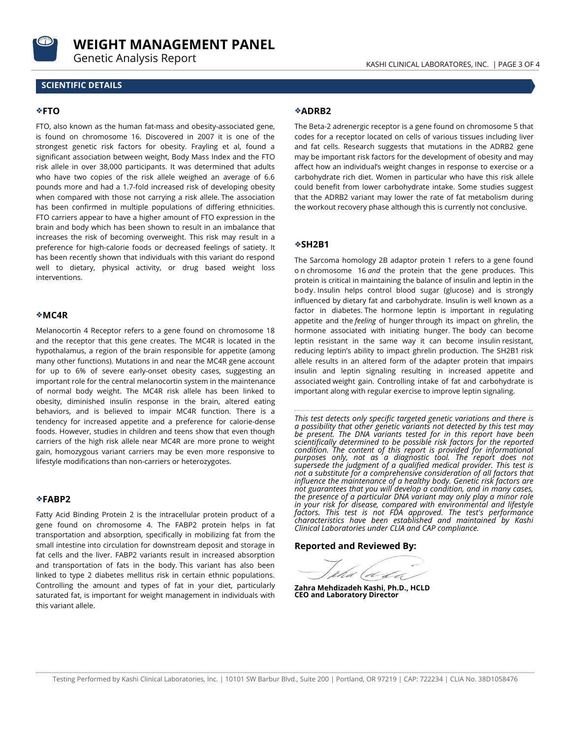

**WEIGHT MANAGEMENT PANEL**

#### **SCIENTIFIC DETAILS**

#### **FTO**

FTO, also known as the human fat-mass and obesity-associated gene, is found on chromosome 16. Discovered in 2007 it is one of the strongest genetic risk factors for obesity. Frayling et al, found a significant association between weight, Body Mass Index and the FTO risk allele in over 38,000 participants. It was determined that adults who have two copies of the risk allele weighed an average of 6.6 pounds more and had a 1.7-fold increased risk of developing obesity when compared with those not carrying a risk allele. The association has been confirmed in multiple populations of differing ethnicities. FTO carriers appear to have a higher amount of FTO expression in the brain and body which has been shown to result in an imbalance that increases the risk of becoming overweight. This risk may result in a preference for high-calorie foods or decreased feelings of satiety. It has been recently shown that individuals with this variant do respond well to dietary, physical activity, or drug based weight loss interventions.

#### **MC4R**

Melanocortin 4 Receptor refers to a gene found on chromosome 18 and the receptor that this gene creates. The MC4R is located in the hypothalamus, a region of the brain responsible for appetite (among many other functions). Mutations in and near the MC4R gene account for up to 6% of severe early-onset obesity cases, suggesting an important role for the central melanocortin system in the maintenance of normal body weight. The MC4R risk allele has been linked to obesity, diminished insulin response in the brain, altered eating behaviors, and is believed to impair MC4R function. There is a tendency for increased appetite and a preference for calorie-dense foods. However, studies in children and teens show that even though carriers of the high risk allele near MC4R are more prone to weight gain, homozygous variant carriers may be even more responsive to lifestyle modifications than non-carriers or heterozygotes.

#### **FABP2**

Fatty Acid Binding Protein 2 is the intracellular protein product of a gene found on chromosome 4. The FABP2 protein helps in fat transportation and absorption, specifically in mobilizing fat from the small intestine into circulation for downstream deposit and storage in fat cells and the liver. FABP2 variants result in increased absorption and transportation of fats in the body. This variant has also been linked to type 2 diabetes mellitus risk in certain ethnic populations. Controlling the amount and types of fat in your diet, particularly saturated fat, is important for weight management in individuals with this variant allele.

#### **ADRB2**

The Beta-2 adrenergic receptor is a gene found on chromosome 5 that codes for a receptor located on cells of various tissues including liver and fat cells. Research suggests that mutations in the ADRB2 gene may be important risk factors for the development of obesity and may affect how an individual's weight changes in response to exercise or a carbohydrate rich diet. Women in particular who have this risk allele could benefit from lower carbohydrate intake. Some studies suggest that the ADRB2 variant may lower the rate of fat metabolism during the workout recovery phase although this is currently not conclusive.

#### **SH2B1**

The Sarcoma homology 2B adaptor protein 1 refers to a gene found o n chromosome 16 *and* the protein that the gene produces. This protein is critical in maintaining the balance of insulin and leptin in the body. Insulin helps control blood sugar (glucose) and is strongly influenced by dietary fat and carbohydrate. Insulin is well known as a factor in diabetes. The hormone leptin is important in regulating appetite and the *feeling* of hunger through its impact on ghrelin, the hormone associated with initiating hunger. The body can become leptin resistant in the same way it can become insulin resistant, reducing leptin's ability to impact ghrelin production. The SH2B1 risk allele results in an altered form of the adapter protein that impairs insulin and leptin signaling resulting in increased appetite and associated weight gain. Controlling intake of fat and carbohydrate is important along with regular exercise to improve leptin signaling.

*This test detects only specific targeted genetic variations and there is a possibility that other genetic variants not detected by this test may be present. The DNA variants tested for in this report have been scientifically determined to be possible risk factors for the reported condition. The content of this report is provided for informational purposes only, not as a diagnostic tool. The report does not supersede the judgment of a qualified medical provider. This test is not a substitute for a comprehensive consideration of all factors that influence the maintenance of a healthy body. Genetic risk factors are not guarantees that you will develop a condition, and in many cases, the presence of a particular DNA variant may only play a minor role in your risk for disease, compared with environmental and lifestyle factors. This test is not FDA approved. The test's performance characteristics have been established and maintained by Kashi Clinical Laboratories under CLIA and CAP compliance.*

**Reported and Reviewed By:**

**Zahra Mehdizadeh Kashi, Ph.D., HCLD CEO and Laboratory Director**